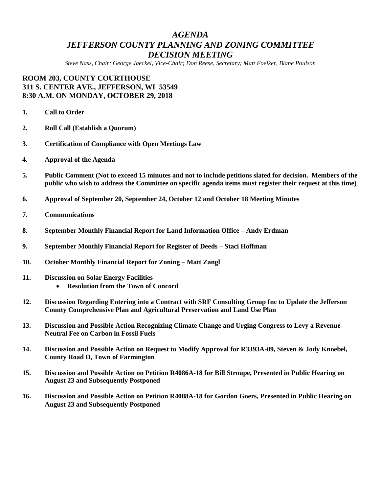## *AGENDA JEFFERSON COUNTY PLANNING AND ZONING COMMITTEE DECISION MEETING*

*Steve Nass, Chair; George Jaeckel, Vice-Chair; Don Reese, Secretary; Matt Foelker, Blane Poulson*

## **ROOM 203, COUNTY COURTHOUSE 311 S. CENTER AVE., JEFFERSON, WI 53549 8:30 A.M. ON MONDAY, OCTOBER 29, 2018**

- **1. Call to Order**
- **2. Roll Call (Establish a Quorum)**
- **3. Certification of Compliance with Open Meetings Law**
- **4. Approval of the Agenda**
- **5. Public Comment (Not to exceed 15 minutes and not to include petitions slated for decision. Members of the public who wish to address the Committee on specific agenda items must register their request at this time)**
- **6. Approval of September 20, September 24, October 12 and October 18 Meeting Minutes**
- **7. Communications**
- **8. September Monthly Financial Report for Land Information Office – Andy Erdman**
- **9. September Monthly Financial Report for Register of Deeds – Staci Hoffman**
- **10. October Monthly Financial Report for Zoning – Matt Zangl**
- **11. Discussion on Solar Energy Facilities Resolution from the Town of Concord**
- **12. Discussion Regarding Entering into a Contract with SRF Consulting Group Inc to Update the Jefferson County Comprehensive Plan and Agricultural Preservation and Land Use Plan**
- **13. Discussion and Possible Action Recognizing Climate Change and Urging Congress to Levy a Revenue-Neutral Fee on Carbon in Fossil Fuels**
- **14. Discussion and Possible Action on Request to Modify Approval for R3393A-09, Steven & Jody Knoebel, County Road D, Town of Farmington**
- **15. Discussion and Possible Action on Petition R4086A-18 for Bill Stroupe, Presented in Public Hearing on August 23 and Subsequently Postponed**
- **16. Discussion and Possible Action on Petition R4088A-18 for Gordon Goers, Presented in Public Hearing on August 23 and Subsequently Postponed**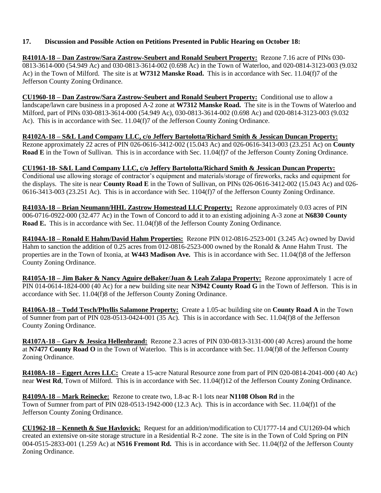### **17. Discussion and Possible Action on Petitions Presented in Public Hearing on October 18:**

**R4101A-18 – Dan Zastrow/Sara Zastrow-Seubert and Ronald Seubert Property:** Rezone 7.16 acre of PINs 030- 0813-3614-000 (54.949 Ac) and 030-0813-3614-002 (0.698 Ac) in the Town of Waterloo, and 020-0814-3123-003 (9.032 Ac) in the Town of Milford. The site is at **W7312 Manske Road.** This is in accordance with Sec. 11.04(f)7 of the Jefferson County Zoning Ordinance.

**CU1960-18 – Dan Zastrow/Sara Zastrow-Seubert and Ronald Seubert Property:** Conditional use to allow a landscape/lawn care business in a proposed A-2 zone at **W7312 Manske Road.** The site is in the Towns of Waterloo and Milford, part of PINs 030-0813-3614-000 (54.949 Ac), 030-0813-3614-002 (0.698 Ac) and 020-0814-3123-003 (9.032 Ac). This is in accordance with Sec. 11.04(f)7 of the Jefferson County Zoning Ordinance.

**R4102A-18 – S&L Land Company LLC, c/o Jeffery Bartolotta/Richard Smith & Jessican Duncan Property:** Rezone approximately 22 acres of PIN 026-0616-3412-002 (15.043 Ac) and 026-0616-3413-003 (23.251 Ac) on **County Road E** in the Town of Sullivan. This is in accordance with Sec. 11.04(f)7 of the Jefferson County Zoning Ordinance.

# **CU1961-18- S&L Land Company LLC, c/o Jeffery Bartolotta/Richard Smith & Jessican Duncan Property:**

Conditional use allowing storage of contractor's equipment and materials/storage of fireworks, racks and equipment for the displays. The site is near **County Road E** in the Town of Sullivan, on PINs 026-0616-3412-002 (15.043 Ac) and 026- 0616-3413-003 (23.251 Ac). This is in accordance with Sec. 1104(f)7 of the Jefferson County Zoning Ordinance.

**R4103A-18 – Brian Neumann/HHL Zastrow Homestead LLC Property:** Rezone approximately 0.03 acres of PIN 006-0716-0922-000 (32.477 Ac) in the Town of Concord to add it to an existing adjoining A-3 zone at **N6830 County Road E.** This is in accordance with Sec. 11.04(f)8 of the Jefferson County Zoning Ordinance.

**R4104A-18 – Ronald E Hahm/David Hahm Properties:** Rezone PIN 012-0816-2523-001 (3.245 Ac) owned by David Hahm to sanction the addition of 0.25 acres from 012-0816-2523-000 owned by the Ronald & Anne Hahm Trust. The properties are in the Town of Ixonia, at **W443 Madison Ave.** This is in accordance with Sec. 11.04(f)8 of the Jefferson County Zoning Ordinance.

**R4105A-18 – Jim Baker & Nancy Aguire deBaker/Juan & Leah Zalapa Property:** Rezone approximately 1 acre of PIN 014-0614-1824-000 (40 Ac) for a new building site near **N3942 County Road G** in the Town of Jefferson. This is in accordance with Sec. 11.04(f)8 of the Jefferson County Zoning Ordinance.

**R4106A-18 – Todd Tesch/Phyllis Salamone Property:** Create a 1.05-ac building site on **County Road A** in the Town of Sumner from part of PIN 028-0513-0424-001 (35 Ac). This is in accordance with Sec. 11.04(f)8 of the Jefferson County Zoning Ordinance.

**R4107A-18 – Gary & Jessica Hellenbrand:** Rezone 2.3 acres of PIN 030-0813-3131-000 (40 Acres) around the home at **N7477 County Road O** in the Town of Waterloo. This is in accordance with Sec. 11.04(f)8 of the Jefferson County Zoning Ordinance.

**R4108A-18 – Eggert Acres LLC:** Create a 15-acre Natural Resource zone from part of PIN 020-0814-2041-000 (40 Ac) near **West Rd**, Town of Milford. This is in accordance with Sec. 11.04(f)12 of the Jefferson County Zoning Ordinance.

**R4109A-18 – Mark Reinecke:** Rezone to create two, 1.8-ac R-1 lots near **N1108 Olson Rd** in the Town of Sumner from part of PIN 028-0513-1942-000 (12.3 Ac). This is in accordance with Sec. 11.04(f)1 of the Jefferson County Zoning Ordinance.

**CU1962-18 – Kenneth & Sue Havlovick:** Request for an addition/modification to CU1777-14 and CU1269-04 which created an extensive on-site storage structure in a Residential R-2 zone. The site is in the Town of Cold Spring on PIN 004-0515-2833-001 (1.259 Ac) at **N516 Fremont Rd.** This is in accordance with Sec. 11.04(f)2 of the Jefferson County Zoning Ordinance.